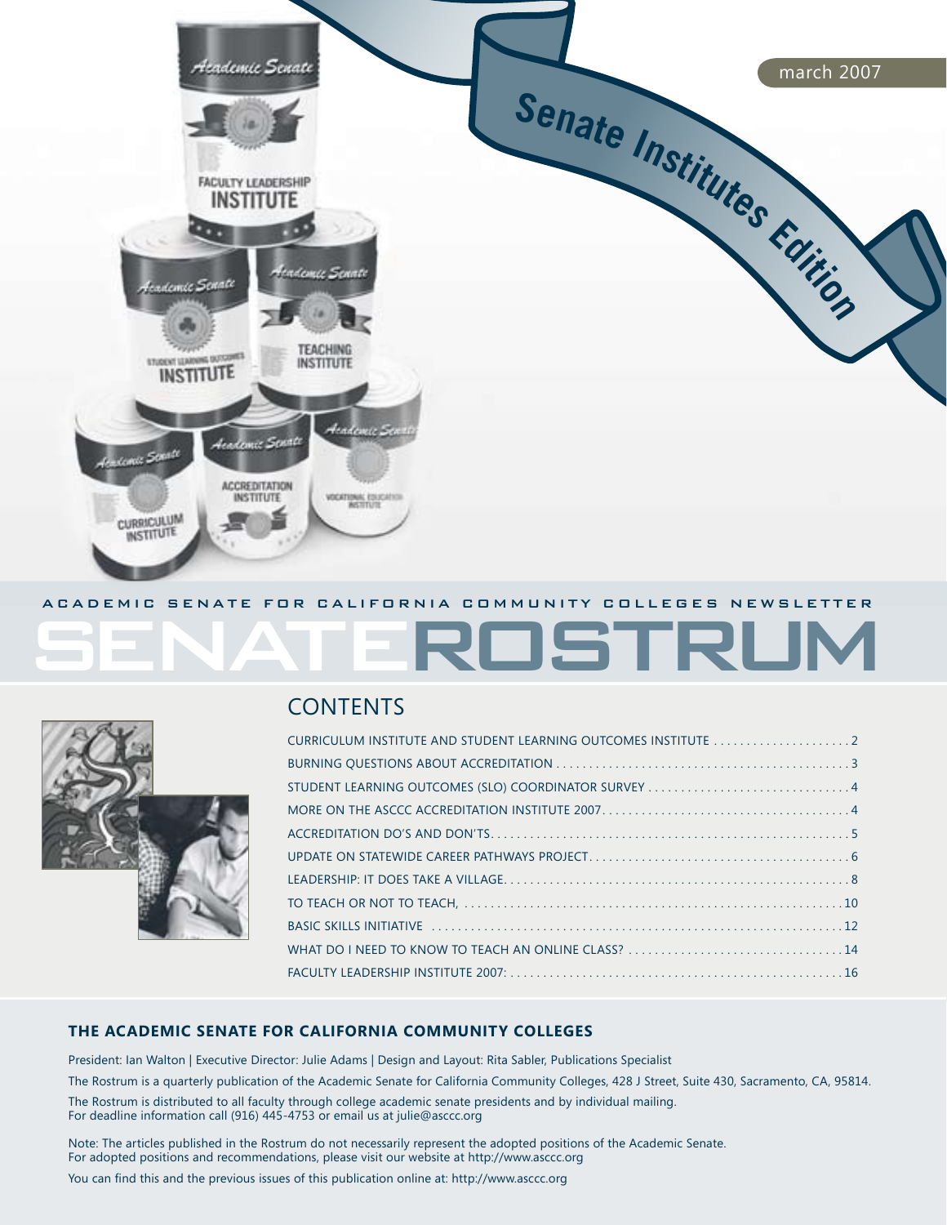

# ROSTRUI



## **CONTENTS**

| CURRICULUM INSTITUTE AND STUDENT LEARNING OUTCOMES INSTITUTE  2 |
|-----------------------------------------------------------------|
|                                                                 |
|                                                                 |
|                                                                 |
|                                                                 |
|                                                                 |
|                                                                 |
|                                                                 |
|                                                                 |
|                                                                 |
|                                                                 |

### **The Academic Senate for California Community Colleges**

President: Ian Walton | Executive Director: Julie Adams | Design and Layout: Rita Sabler, Publications Specialist The Rostrum is a quarterly publication of the Academic Senate for California Community Colleges, 428 J Street, Suite 430, Sacramento, CA, 95814. The Rostrum is distributed to all faculty through college academic senate presidents and by individual mailing. For deadline information call (916) 445-4753 or email us at julie@asccc.org

Note: The articles published in the Rostrum do not necessarily represent the adopted positions of the Academic Senate. For adopted positions and recommendations, please visit our website at http://www.asccc.org

You can find this and the previous issues of this publication online at: http://www.asccc.org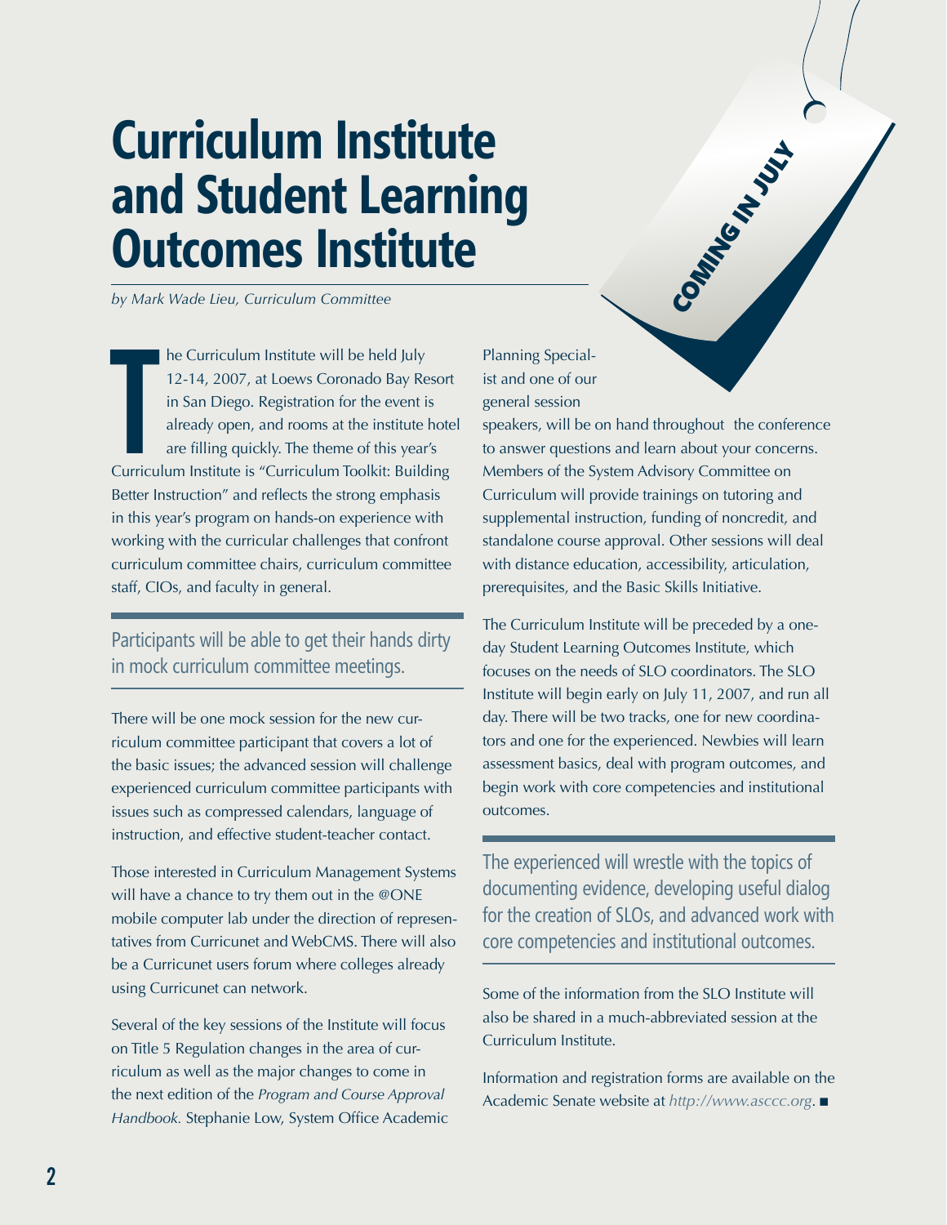## **Curriculum Institute and Student Learning Outcomes Institute**

*by Mark Wade Lieu, Curriculum Committee*

he Curriculum Institute will be held July<br>12-14, 2007, at Loews Coronado Bay Resort<br>in San Diego. Registration for the event is<br>already open, and rooms at the institute hote<br>are filling quickly. The theme of this year's<br>Cu he Curriculum Institute will be held July 12-14, 2007, at Loews Coronado Bay Resort in San Diego. Registration for the event is already open, and rooms at the institute hotel are filling quickly. The theme of this year's Better Instruction" and reflects the strong emphasis in this year's program on hands-on experience with working with the curricular challenges that confront curriculum committee chairs, curriculum committee staff, CIOs, and faculty in general.

### Participants will be able to get their hands dirty in mock curriculum committee meetings.

There will be one mock session for the new curriculum committee participant that covers a lot of the basic issues; the advanced session will challenge experienced curriculum committee participants with issues such as compressed calendars, language of instruction, and effective student-teacher contact.

Those interested in Curriculum Management Systems will have a chance to try them out in the @ONE mobile computer lab under the direction of representatives from Curricunet and WebCMS. There will also be a Curricunet users forum where colleges already using Curricunet can network.

Several of the key sessions of the Institute will focus on Title 5 Regulation changes in the area of curriculum as well as the major changes to come in the next edition of the *Program and Course Approval Handbook.* Stephanie Low, System Office Academic Planning Specialist and one of our general session

speakers, will be on hand throughout the conference to answer questions and learn about your concerns. Members of the System Advisory Committee on Curriculum will provide trainings on tutoring and supplemental instruction, funding of noncredit, and standalone course approval. Other sessions will deal with distance education, accessibility, articulation, prerequisites, and the Basic Skills Initiative.

**Communication** 

The Curriculum Institute will be preceded by a oneday Student Learning Outcomes Institute, which focuses on the needs of SLO coordinators. The SLO Institute will begin early on July 11, 2007, and run all day. There will be two tracks, one for new coordinators and one for the experienced. Newbies will learn assessment basics, deal with program outcomes, and begin work with core competencies and institutional outcomes.

The experienced will wrestle with the topics of documenting evidence, developing useful dialog for the creation of SLOs, and advanced work with core competencies and institutional outcomes.

Some of the information from the SLO Institute will also be shared in a much-abbreviated session at the Curriculum Institute.

Information and registration forms are available on the Academic Senate website at *http://www.asccc.org*. <sup>g</sup>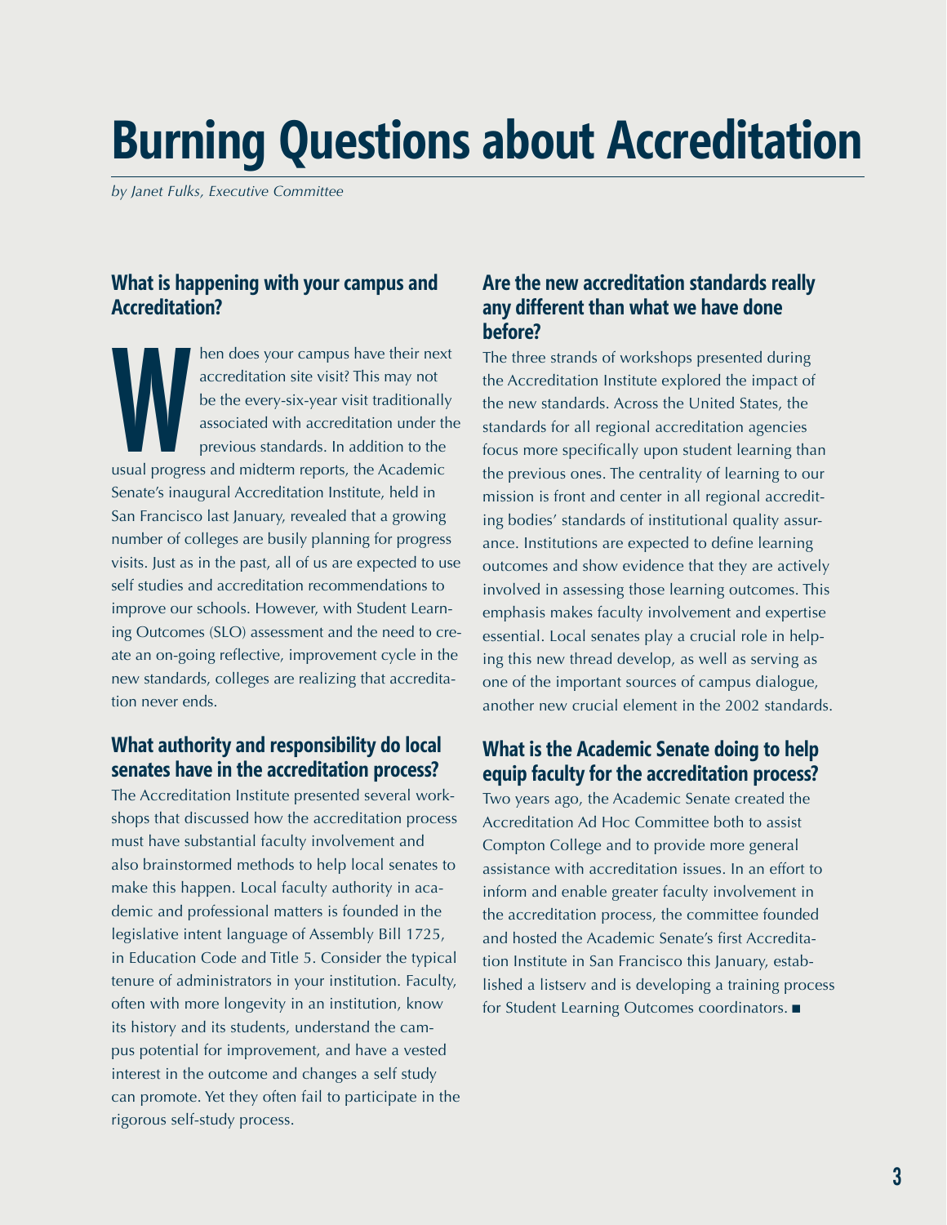## **Burning Questions about Accreditation**

*by Janet Fulks, Executive Committee* 

### **What is happening with your campus and Accreditation?**

hen does your campus have their nex-<br>accreditation site visit? This may not<br>be the every-six-year visit traditionally<br>associated with accreditation under the<br>previous standards. In addition to the<br>usual progress and midter hen does your campus have their next accreditation site visit? This may not be the every-six-year visit traditionally associated with accreditation under the previous standards. In addition to the Senate's inaugural Accreditation Institute, held in San Francisco last January, revealed that a growing number of colleges are busily planning for progress visits. Just as in the past, all of us are expected to use self studies and accreditation recommendations to improve our schools. However, with Student Learning Outcomes (SLO) assessment and the need to create an on-going reflective, improvement cycle in the new standards, colleges are realizing that accreditation never ends.

### **What authority and responsibility do local senates have in the accreditation process?**

The Accreditation Institute presented several workshops that discussed how the accreditation process must have substantial faculty involvement and also brainstormed methods to help local senates to make this happen. Local faculty authority in academic and professional matters is founded in the legislative intent language of Assembly Bill 1725, in Education Code and Title 5. Consider the typical tenure of administrators in your institution. Faculty, often with more longevity in an institution, know its history and its students, understand the campus potential for improvement, and have a vested interest in the outcome and changes a self study can promote. Yet they often fail to participate in the rigorous self-study process.

### **Are the new accreditation standards really any different than what we have done before?**

The three strands of workshops presented during the Accreditation Institute explored the impact of the new standards. Across the United States, the standards for all regional accreditation agencies focus more specifically upon student learning than the previous ones. The centrality of learning to our mission is front and center in all regional accrediting bodies' standards of institutional quality assurance. Institutions are expected to define learning outcomes and show evidence that they are actively involved in assessing those learning outcomes. This emphasis makes faculty involvement and expertise essential. Local senates play a crucial role in helping this new thread develop, as well as serving as one of the important sources of campus dialogue, another new crucial element in the 2002 standards.

### **What is the Academic Senate doing to help equip faculty for the accreditation process?**

Two years ago, the Academic Senate created the Accreditation Ad Hoc Committee both to assist Compton College and to provide more general assistance with accreditation issues. In an effort to inform and enable greater faculty involvement in the accreditation process, the committee founded and hosted the Academic Senate's first Accreditation Institute in San Francisco this January, established a listserv and is developing a training process for Student Learning Outcomes coordinators.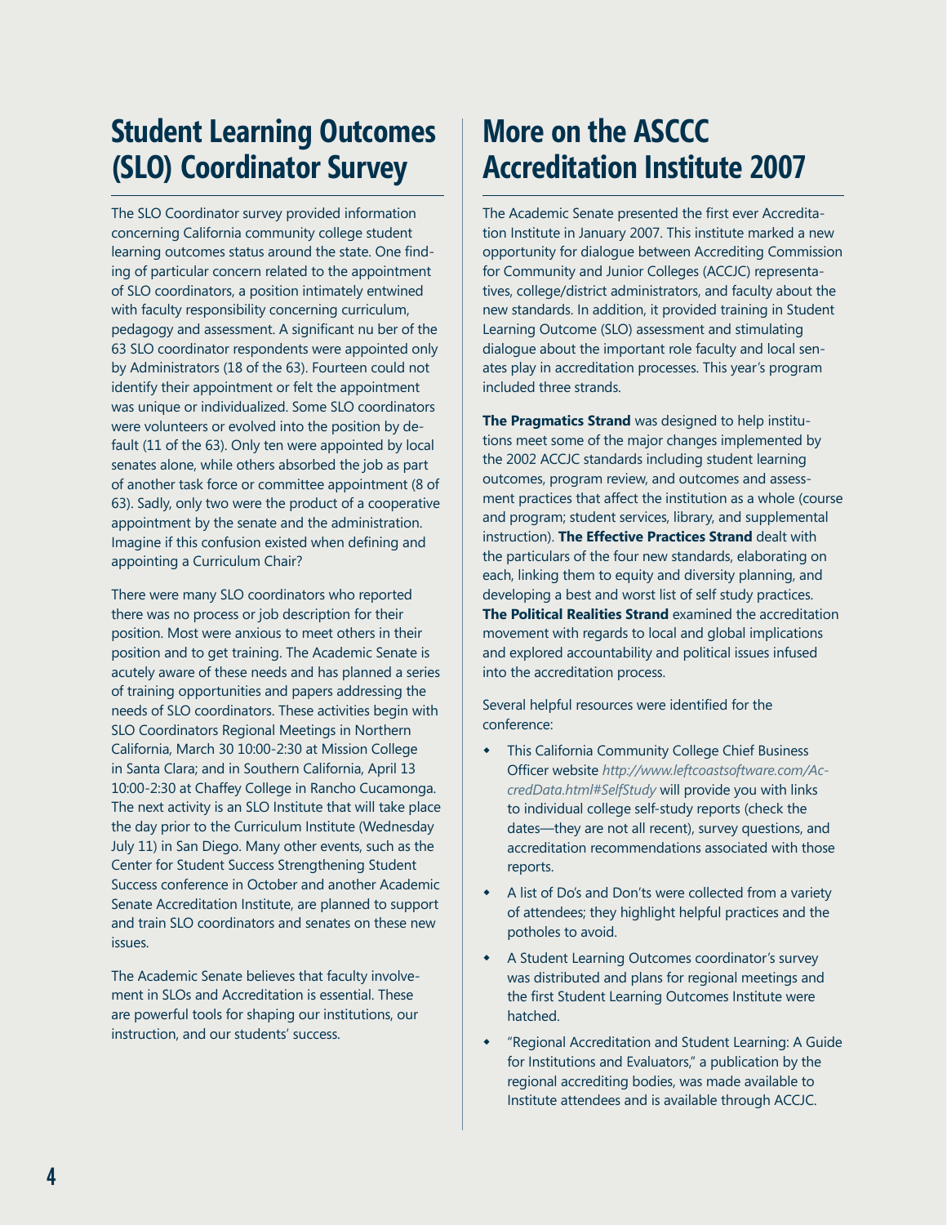## **Student Learning Outcomes (SLO) Coordinator Survey**

The SLO Coordinator survey provided information concerning California community college student learning outcomes status around the state. One finding of particular concern related to the appointment of SLO coordinators, a position intimately entwined with faculty responsibility concerning curriculum, pedagogy and assessment. A significant nu ber of the 63 SLO coordinator respondents were appointed only by Administrators (18 of the 63). Fourteen could not identify their appointment or felt the appointment was unique or individualized. Some SLO coordinators were volunteers or evolved into the position by default (11 of the 63). Only ten were appointed by local senates alone, while others absorbed the job as part of another task force or committee appointment (8 of 63). Sadly, only two were the product of a cooperative appointment by the senate and the administration. Imagine if this confusion existed when defining and appointing a Curriculum Chair?

There were many SLO coordinators who reported there was no process or job description for their position. Most were anxious to meet others in their position and to get training. The Academic Senate is acutely aware of these needs and has planned a series of training opportunities and papers addressing the needs of SLO coordinators. These activities begin with SLO Coordinators Regional Meetings in Northern California, March 30 10:00-2:30 at Mission College in Santa Clara; and in Southern California, April 13 10:00-2:30 at Chaffey College in Rancho Cucamonga. The next activity is an SLO Institute that will take place the day prior to the Curriculum Institute (Wednesday July 11) in San Diego. Many other events, such as the Center for Student Success Strengthening Student Success conference in October and another Academic Senate Accreditation Institute, are planned to support and train SLO coordinators and senates on these new issues.

The Academic Senate believes that faculty involvement in SLOs and Accreditation is essential. These are powerful tools for shaping our institutions, our instruction, and our students' success.

## **More on the ASCCC Accreditation Institute 2007**

The Academic Senate presented the first ever Accreditation Institute in January 2007. This institute marked a new opportunity for dialogue between Accrediting Commission for Community and Junior Colleges (ACCJC) representatives, college/district administrators, and faculty about the new standards. In addition, it provided training in Student Learning Outcome (SLO) assessment and stimulating dialogue about the important role faculty and local senates play in accreditation processes. This year's program included three strands.

**The Pragmatics Strand** was designed to help institutions meet some of the major changes implemented by the 2002 ACCJC standards including student learning outcomes, program review, and outcomes and assessment practices that affect the institution as a whole (course and program; student services, library, and supplemental instruction). **The Effective Practices Strand** dealt with the particulars of the four new standards, elaborating on each, linking them to equity and diversity planning, and developing a best and worst list of self study practices. **The Political Realities Strand** examined the accreditation movement with regards to local and global implications and explored accountability and political issues infused into the accreditation process.

Several helpful resources were identified for the conference:

- This California Community College Chief Business Officer website *http://www.leftcoastsoftware.com/AccredData.html#SelfStudy* will provide you with links to individual college self-study reports (check the dates—they are not all recent), survey questions, and accreditation recommendations associated with those reports.  $\bullet$
- A list of Do's and Don'ts were collected from a variety of attendees; they highlight helpful practices and the potholes to avoid.
- A Student Learning Outcomes coordinator's survey was distributed and plans for regional meetings and the first Student Learning Outcomes Institute were hatched.
- "Regional Accreditation and Student Learning: A Guide for Institutions and Evaluators," a publication by the regional accrediting bodies, was made available to Institute attendees and is available through ACCJC.  $\bullet$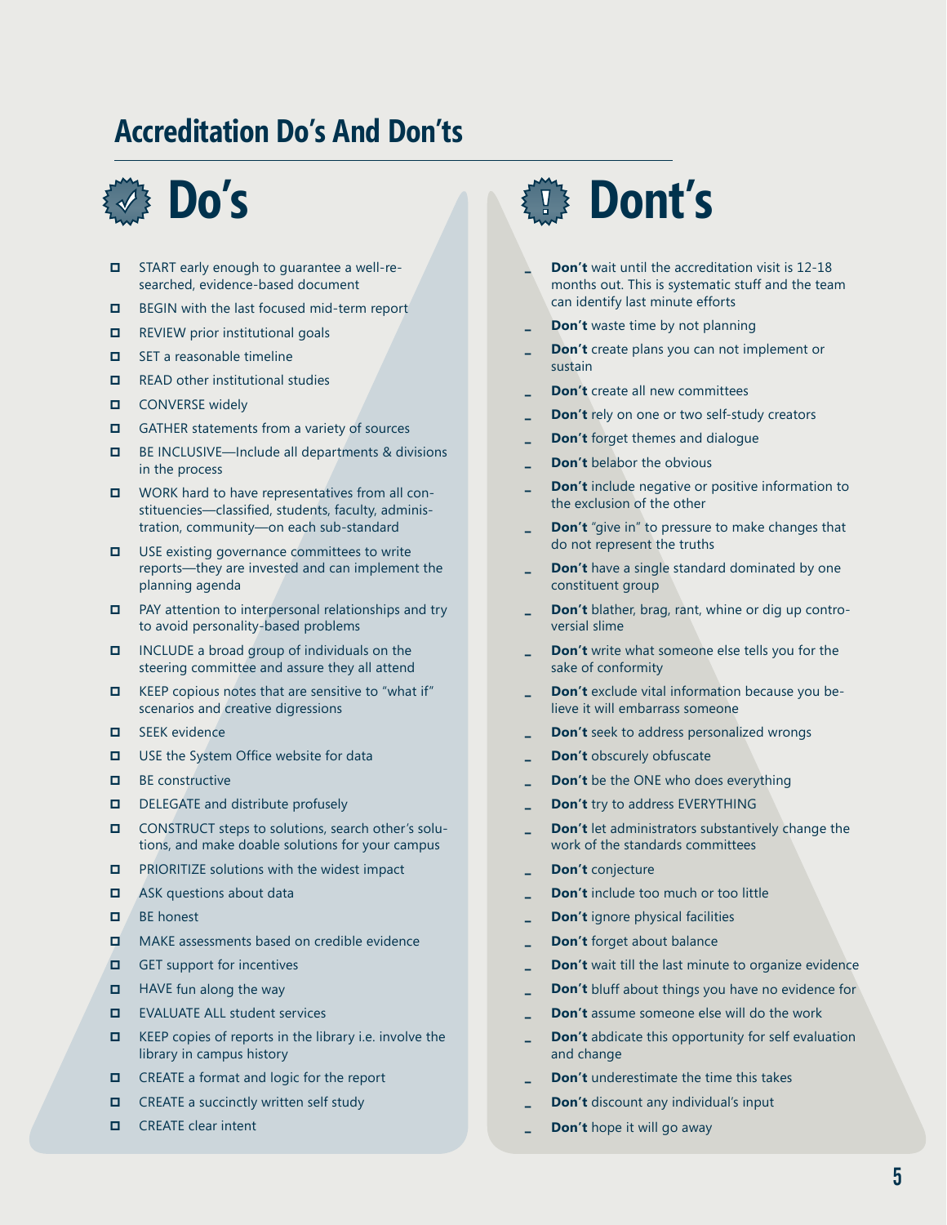## **Accreditation Do's And Don'ts**



- START early enough to guarantee a well-researched, evidence-based document  $\Box$
- BEGIN with the last focused mid-term report  $\Box$
- REVIEW prior institutional goals  $\Box$
- SET a reasonable timeline  $\Box$
- READ other institutional studies  $\blacksquare$
- CONVERSE widely  $\Box$
- GATHER statements from a variety of sources  $\Box$
- BE INCLUSIVE—Include all departments & divisions in the process  $\Box$
- WORK hard to have representatives from all constituencies—classified, students, faculty, administration, community—on each sub-standard
- USE existing governance committees to write reports—they are invested and can implement the planning agenda  $\Box$
- PAY attention to interpersonal relationships and try to avoid personality-based problems  $\Box$
- Include a broad group of individuals on the steering committee and assure they all attend  $\Box$
- KEEP copious notes that are sensitive to "what if" scenarios and creative digressions  $\Box$
- SEEK evidence  $\Box$
- USE the System Office website for data  $\Box$
- BE constructive  $\Box$
- DELEGATE and distribute profusely  $\Box$
- Construct steps to solutions, search other's solutions, and make doable solutions for your campus  $\Box$
- PRIORITIZE solutions with the widest impact  $\Box$
- Ask questions about data  $\Box$
- Be honest  $\Box$
- Make assessments based on credible evidence  $\blacksquare$
- GET support for incentives  $\Box$
- Have fun along the way  $\Box$
- Evaluate ALL student services  $\Box$
- KEEP copies of reports in the library i.e. involve the library in campus history  $\Box$
- CREATE a format and logic for the report  $\Box$
- CREATE a succinctly written self study  $\Box$
- CREATE clear intent  $\Box$



- **Don't** wait until the accreditation visit is 12-18 months out. This is systematic stuff and the team can identify last minute efforts  $\Delta$
- **Don't** waste time by not planning  $\overline{a}$
- **Don't** create plans you can not implement or sustain 0
- **Don't** create all new committees  $\overline{a}$
- **Don't** rely on one or two self-study creators 0
- **Don't** forget themes and dialogue  $\overline{a}$
- **Don't** belabor the obvious  $\overline{a}$
- **Don't** include negative or positive information to the exclusion of the other 0
- **Don't** "give in" to pressure to make changes that do not represent the truths  $\overline{a}$
- **Don't** have a single standard dominated by one constituent group  $\overline{a}$
- **Don't** blather, brag, rant, whine or dig up controversial slime 0
- **Don't** write what someone else tells you for the sake of conformity  $\overline{a}$
- **Don't** exclude vital information because you believe it will embarrass someone  $\overline{a}$
- **Don't** seek to address personalized wrongs 0
- **Don't** obscurely obfuscate  $\overline{a}$
- **Don't** be the ONE who does everything  $\overline{a}$
- **Don't** try to address EVERYTHING 0
- **Don't** let administrators substantively change the work of the standards committees  $\overline{a}$
- **Don't** conjecture 0
- **Don't** include too much or too little  $\overline{a}$
- **Don't** ignore physical facilities  $\overline{a}$
- **Don't** forget about balance 0
- **Don't** wait till the last minute to organize evidence  $\overline{a}$
- **Don't** bluff about things you have no evidence for  $\overline{a}$
- **Don't** assume someone else will do the work 0
- **Don't** abdicate this opportunity for self evaluation and change  $\overline{a}$
- **Don't** underestimate the time this takes 0
- **Don't** discount any individual's input  $\overline{a}$
- **Don't** hope it will go away  $\overline{a}$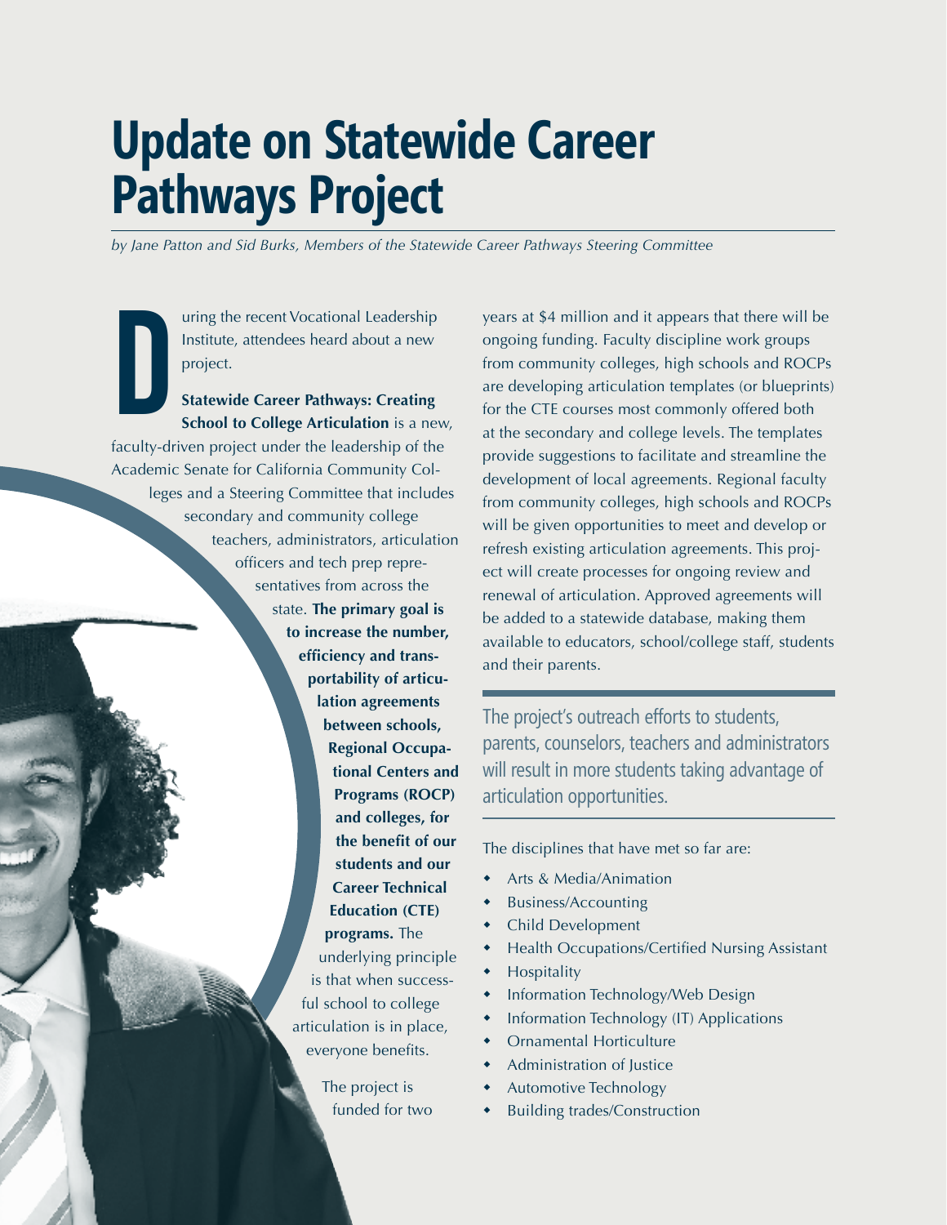## **Update on Statewide Career Pathways Project**

*by Jane Patton and Sid Burks, Members of the Statewide Career Pathways Steering Committee*

uring the recent Vocational Leadership Institute, attendees heard about a new project.

D **Statewide Career Pathways: Creating School to College Articulation** is a new, faculty-driven project under the leadership of the Academic Senate for California Community Colleges and a Steering Committee that includes secondary and community college teachers, administrators, articulation officers and tech prep representatives from across the state. **The primary goal is to increase the number, efficiency and transportability of articulation agreements between schools, Regional Occupational Centers and Programs (ROCP) and colleges, for the benefit of our students and our Career Technical Education (CTE) programs.** The underlying principle is that when successful school to college articulation is in place, everyone benefits.

The project is funded for two years at \$4 million and it appears that there will be ongoing funding. Faculty discipline work groups from community colleges, high schools and ROCPs are developing articulation templates (or blueprints) for the CTE courses most commonly offered both at the secondary and college levels. The templates provide suggestions to facilitate and streamline the development of local agreements. Regional faculty from community colleges, high schools and ROCPs will be given opportunities to meet and develop or refresh existing articulation agreements. This project will create processes for ongoing review and renewal of articulation. Approved agreements will be added to a statewide database, making them available to educators, school/college staff, students and their parents.

The project's outreach efforts to students, parents, counselors, teachers and administrators will result in more students taking advantage of articulation opportunities.

The disciplines that have met so far are:

- Arts & Media/Animation w
- Business/Accounting w
- Child Development w
- Health Occupations/Certified Nursing Assistant w
- Hospitality  $\ddot{\bullet}$
- Information Technology/Web Design w
- Information Technology (IT) Applications  $\bullet$
- Ornamental Horticulture w
- Administration of Justice w
- Automotive Technology  $\ddot{\bullet}$
- Building trades/Construction w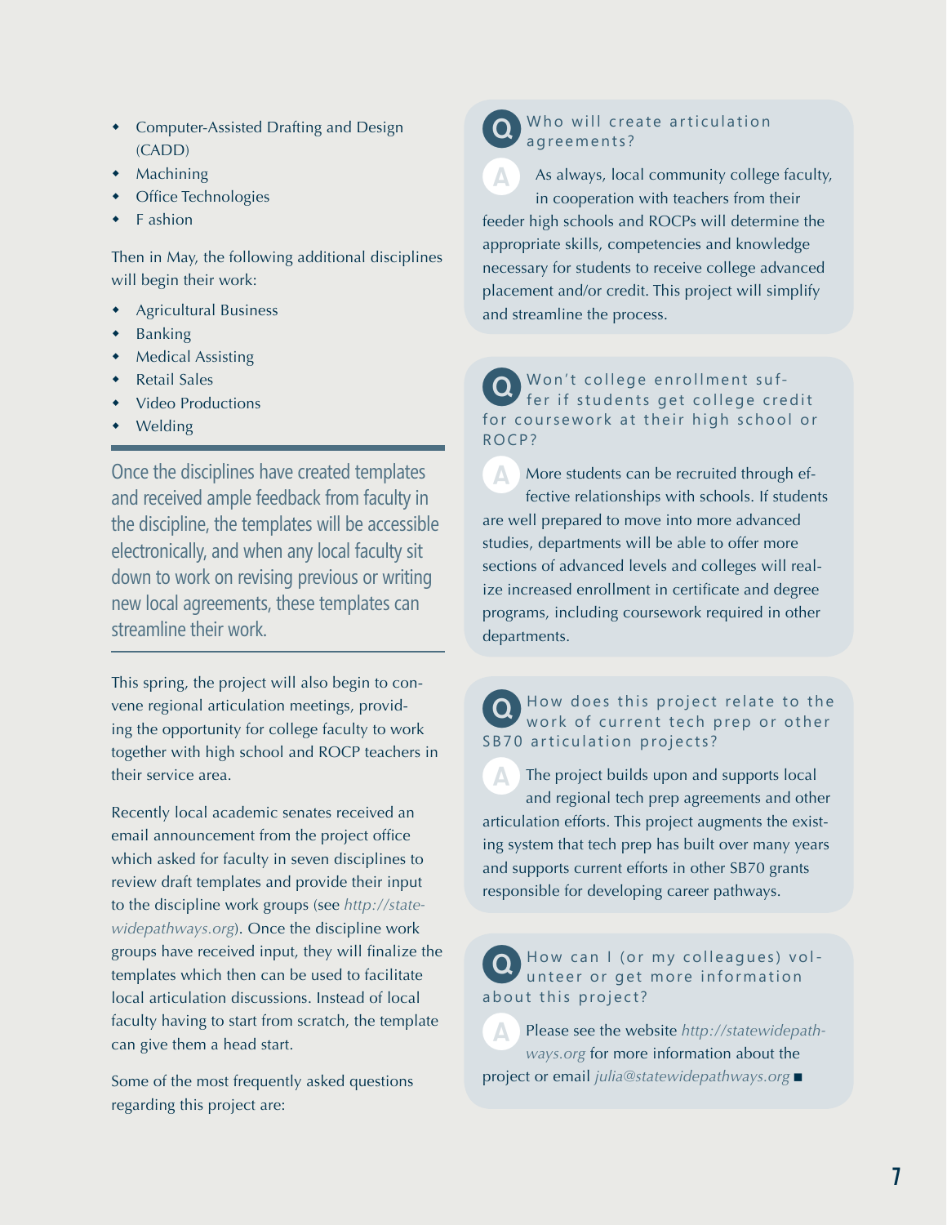- Computer-Assisted Drafting and Design (CADD)
- Machining
- Office Technologies
- F ashion w

Then in May, the following additional disciplines will begin their work:

- Agricultural Business w
- Banking w
- Medical Assisting w
- Retail Sales w
- Video Productions w
- Welding w

Once the disciplines have created templates and received ample feedback from faculty in the discipline, the templates will be accessible electronically, and when any local faculty sit down to work on revising previous or writing new local agreements, these templates can streamline their work.

This spring, the project will also begin to convene regional articulation meetings, providing the opportunity for college faculty to work together with high school and ROCP teachers in their service area.

Recently local academic senates received an email announcement from the project office which asked for faculty in seven disciplines to review draft templates and provide their input to the discipline work groups (see *http://statewidepathways.org*). Once the discipline work groups have received input, they will finalize the templates which then can be used to facilitate local articulation discussions. Instead of local faculty having to start from scratch, the template can give them a head start.

Some of the most frequently asked questions regarding this project are:

### Who will create articulation agreements?

As always, local community college faculty, in cooperation with teachers from their feeder high schools and ROCPs will determine the appropriate skills, competencies and knowledge necessary for students to receive college advanced placement and/or credit. This project will simplify and streamline the process.

Won't college enrollment suffer if students get college credit for coursework at their high school or ROCP?

A More students can be recruited through effective relationships with schools. If students are well prepared to move into more advanced studies, departments will be able to offer more sections of advanced levels and colleges will realize increased enrollment in certificate and degree programs, including coursework required in other departments.

## **Q** How does this project relate to the work of current tech prep or other SB70 articulation projects?

The project builds upon and supports local and regional tech prep agreements and other articulation efforts. This project augments the existing system that tech prep has built over many years and supports current efforts in other SB70 grants responsible for developing career pathways.

How can I (or my colleagues) volunteer or get more information about this project?

APlease see the website *http://statewidepathways.org* for more information about the project or email *julia@statewidepathways.org* ■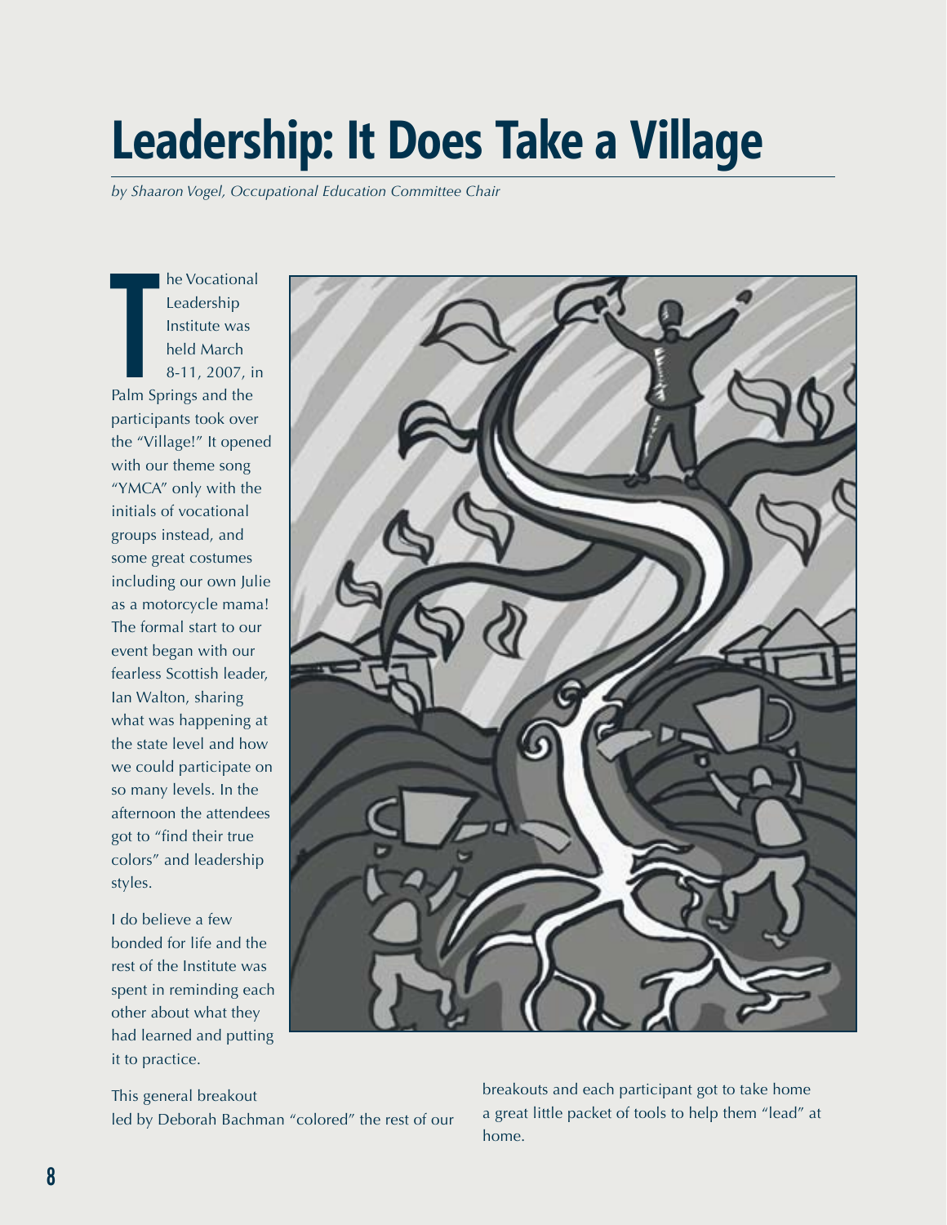## **Leadership: It Does Take a Village**

*by Shaaron Vogel, Occupational Education Committee Chair*

he Vocational<br>
Leadership<br>
Institute was<br>
held March<br>
8-11, 2007, in<br>
Palm Springs and the he Vocational Leadership Institute was held March 8-11, 2007, in participants took over the "Village!" It opened with our theme song "YMCA" only with the initials of vocational groups instead, and some great costumes including our own Julie as a motorcycle mama! The formal start to our event began with our fearless Scottish leader, Ian Walton, sharing what was happening at the state level and how we could participate on so many levels. In the afternoon the attendees got to "find their true colors" and leadership styles.

I do believe a few bonded for life and the rest of the Institute was spent in reminding each other about what they had learned and putting it to practice.



This general breakout led by Deborah Bachman "colored" the rest of our breakouts and each participant got to take home a great little packet of tools to help them "lead" at home.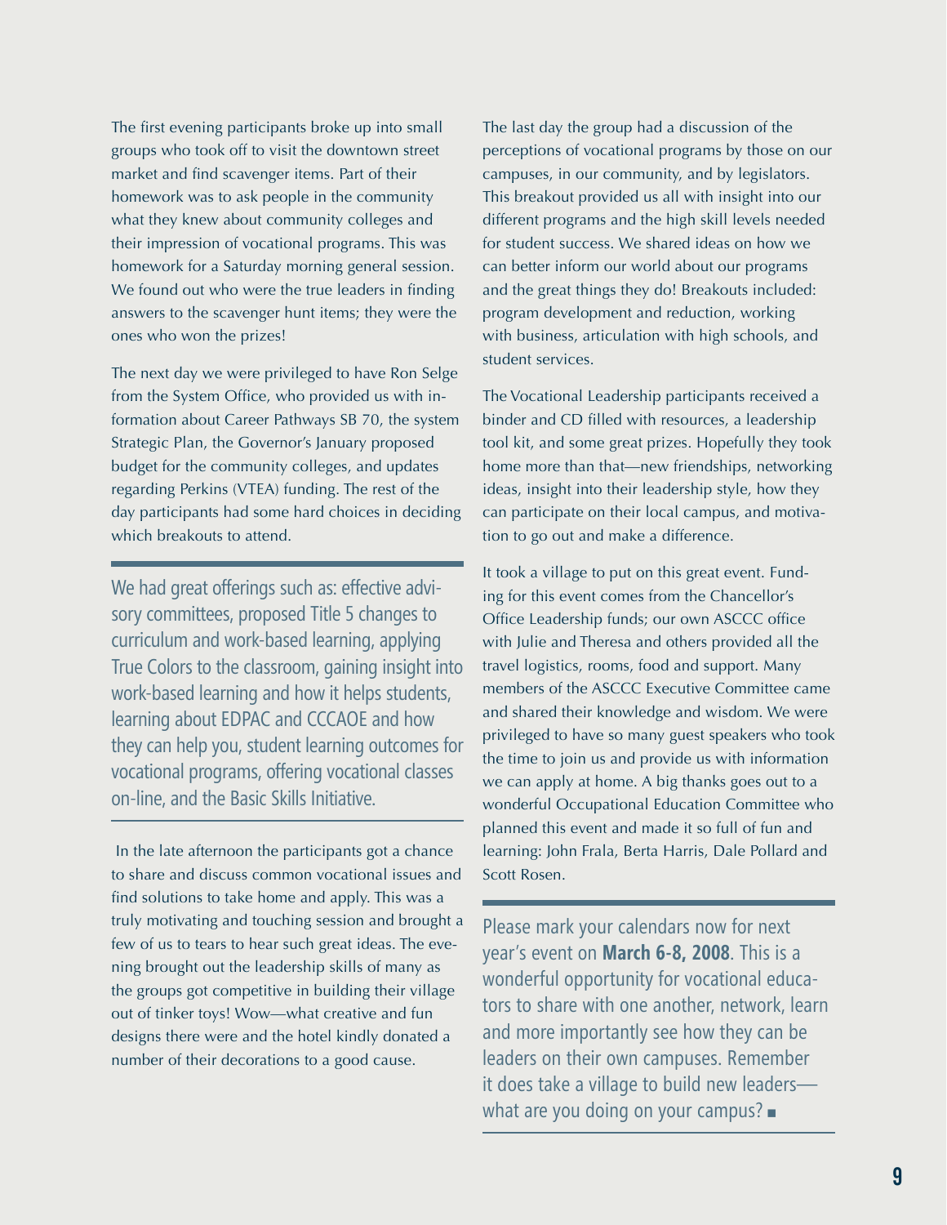The first evening participants broke up into small groups who took off to visit the downtown street market and find scavenger items. Part of their homework was to ask people in the community what they knew about community colleges and their impression of vocational programs. This was homework for a Saturday morning general session. We found out who were the true leaders in finding answers to the scavenger hunt items; they were the ones who won the prizes!

The next day we were privileged to have Ron Selge from the System Office, who provided us with information about Career Pathways SB 70, the system Strategic Plan, the Governor's January proposed budget for the community colleges, and updates regarding Perkins (VTEA) funding. The rest of the day participants had some hard choices in deciding which breakouts to attend.

We had great offerings such as: effective advisory committees, proposed Title 5 changes to curriculum and work-based learning, applying True Colors to the classroom, gaining insight into work-based learning and how it helps students, learning about EDPAC and CCCAOE and how they can help you, student learning outcomes for vocational programs, offering vocational classes on-line, and the Basic Skills Initiative.

 In the late afternoon the participants got a chance to share and discuss common vocational issues and find solutions to take home and apply. This was a truly motivating and touching session and brought a few of us to tears to hear such great ideas. The evening brought out the leadership skills of many as the groups got competitive in building their village out of tinker toys! Wow—what creative and fun designs there were and the hotel kindly donated a number of their decorations to a good cause.

The last day the group had a discussion of the perceptions of vocational programs by those on our campuses, in our community, and by legislators. This breakout provided us all with insight into our different programs and the high skill levels needed for student success. We shared ideas on how we can better inform our world about our programs and the great things they do! Breakouts included: program development and reduction, working with business, articulation with high schools, and student services.

The Vocational Leadership participants received a binder and CD filled with resources, a leadership tool kit, and some great prizes. Hopefully they took home more than that—new friendships, networking ideas, insight into their leadership style, how they can participate on their local campus, and motivation to go out and make a difference.

It took a village to put on this great event. Funding for this event comes from the Chancellor's Office Leadership funds; our own ASCCC office with Julie and Theresa and others provided all the travel logistics, rooms, food and support. Many members of the ASCCC Executive Committee came and shared their knowledge and wisdom. We were privileged to have so many guest speakers who took the time to join us and provide us with information we can apply at home. A big thanks goes out to a wonderful Occupational Education Committee who planned this event and made it so full of fun and learning: John Frala, Berta Harris, Dale Pollard and Scott Rosen.

Please mark your calendars now for next year's event on **March 6-8, 2008**. This is a wonderful opportunity for vocational educators to share with one another, network, learn and more importantly see how they can be leaders on their own campuses. Remember it does take a village to build new leaders what are you doing on your campus?  $\blacksquare$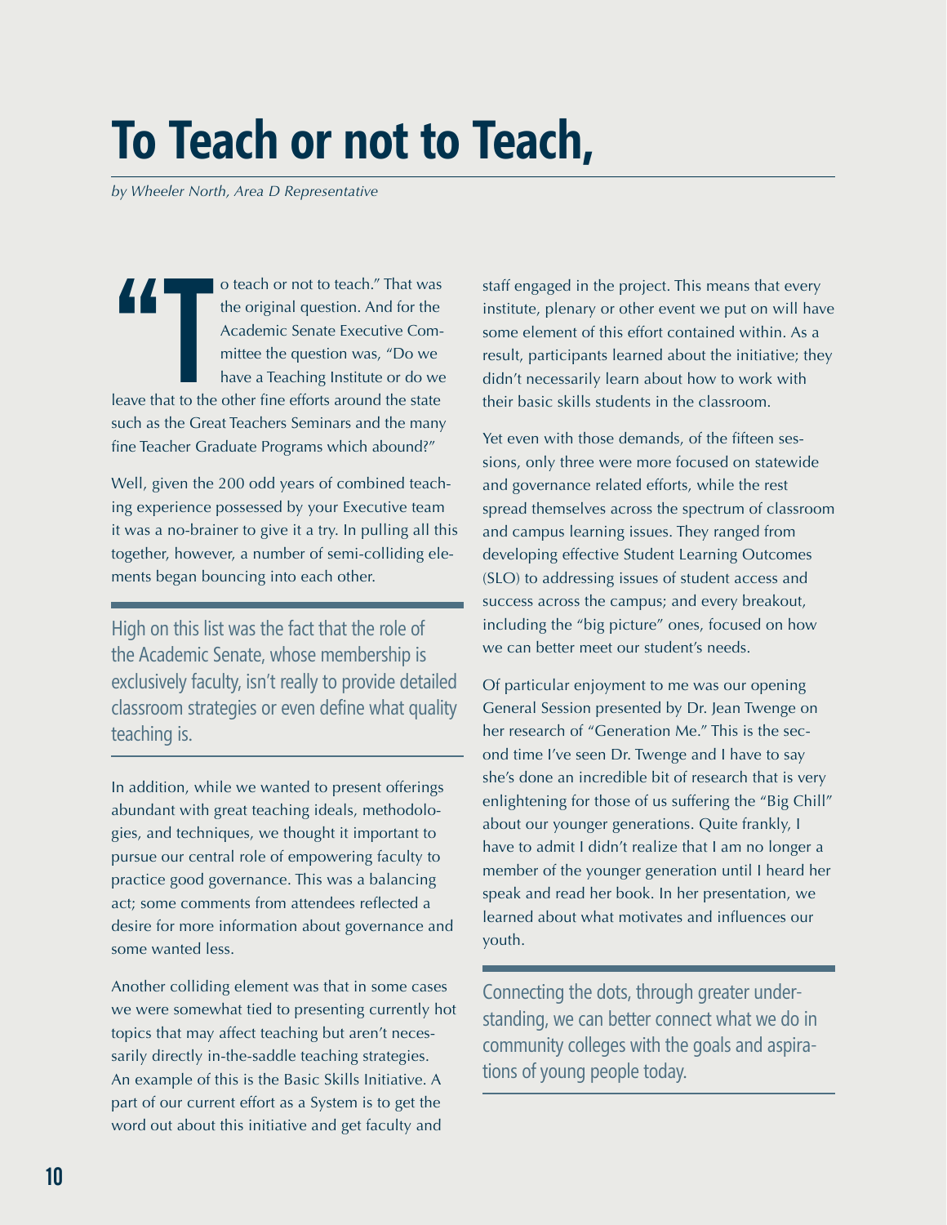## **To Teach or not to Teach,**

*by Wheeler North, Area D Representative*

**1** o teach or not to teach." That was the original question. And for the Academic Senate Executive Committee the question was, "Do we have a Teaching Institute or do we leave that to the other fine efforts around the stat the original question. And for the Academic Senate Executive Committee the question was, "Do we have a Teaching Institute or do we such as the Great Teachers Seminars and the many fine Teacher Graduate Programs which abound?"

Well, given the 200 odd years of combined teaching experience possessed by your Executive team it was a no-brainer to give it a try. In pulling all this together, however, a number of semi-colliding elements began bouncing into each other.

High on this list was the fact that the role of the Academic Senate, whose membership is exclusively faculty, isn't really to provide detailed classroom strategies or even define what quality teaching is.

In addition, while we wanted to present offerings abundant with great teaching ideals, methodologies, and techniques, we thought it important to pursue our central role of empowering faculty to practice good governance. This was a balancing act; some comments from attendees reflected a desire for more information about governance and some wanted less.

Another colliding element was that in some cases we were somewhat tied to presenting currently hot topics that may affect teaching but aren't necessarily directly in-the-saddle teaching strategies. An example of this is the Basic Skills Initiative. A part of our current effort as a System is to get the word out about this initiative and get faculty and

staff engaged in the project. This means that every institute, plenary or other event we put on will have some element of this effort contained within. As a result, participants learned about the initiative; they didn't necessarily learn about how to work with their basic skills students in the classroom.

Yet even with those demands, of the fifteen sessions, only three were more focused on statewide and governance related efforts, while the rest spread themselves across the spectrum of classroom and campus learning issues. They ranged from developing effective Student Learning Outcomes (SLO) to addressing issues of student access and success across the campus; and every breakout, including the "big picture" ones, focused on how we can better meet our student's needs.

Of particular enjoyment to me was our opening General Session presented by Dr. Jean Twenge on her research of "Generation Me." This is the second time I've seen Dr. Twenge and I have to say she's done an incredible bit of research that is very enlightening for those of us suffering the "Big Chill" about our younger generations. Quite frankly, I have to admit I didn't realize that I am no longer a member of the younger generation until I heard her speak and read her book. In her presentation, we learned about what motivates and influences our youth.

Connecting the dots, through greater understanding, we can better connect what we do in community colleges with the goals and aspirations of young people today.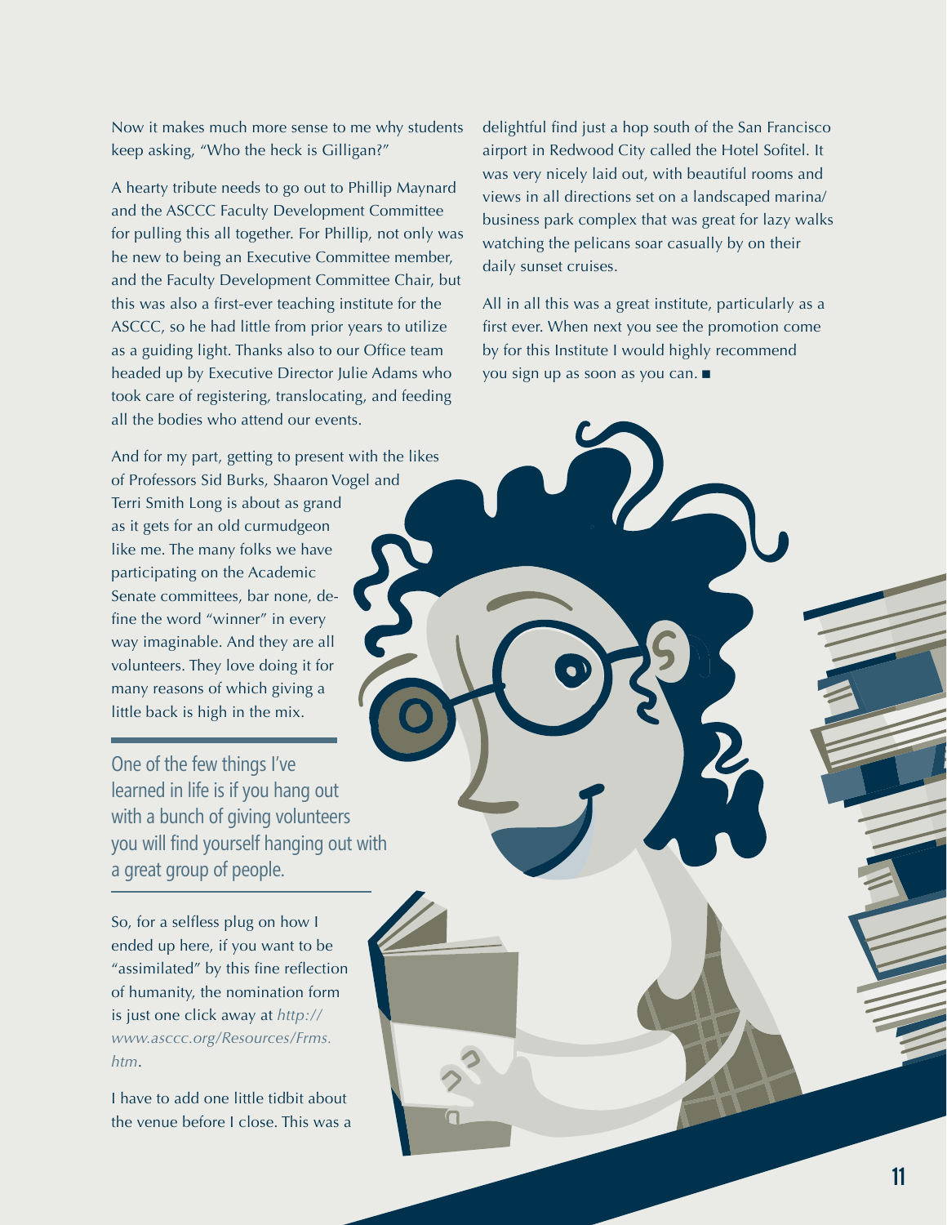Now it makes much more sense to me why students keep asking, "Who the heck is Gilligan?"

A hearty tribute needs to go out to Phillip Maynard and the ASCCC Faculty Development Committee for pulling this all together. For Phillip, not only was he new to being an Executive Committee member, and the Faculty Development Committee Chair, but this was also a first-ever teaching institute for the ASCCC, so he had little from prior years to utilize as a guiding light. Thanks also to our Office team headed up by Executive Director Julie Adams who took care of registering, translocating, and feeding all the bodies who attend our events.

And for my part, getting to present with the likes of Professors Sid Burks, Shaaron Vogel and Terri Smith Long is about as grand

as it gets for an old curmudgeon like me. The many folks we have participating on the Academic Senate committees, bar none, define the word "winner" in every way imaginable. And they are all volunteers. They love doing it for many reasons of which giving a little back is high in the mix.

One of the few things I've learned in life is if you hang out with a bunch of giving volunteers you will find yourself hanging out with a great group of people.

So, for a selfless plug on how I ended up here, if you want to be "assimilated" by this fine reflection of humanity, the nomination form is just one click away at *http:// www.asccc.org/Resources/Frms. htm*.

I have to add one little tidbit about the venue before I close. This was a delightful find just a hop south of the San Francisco airport in Redwood City called the Hotel Sofitel. It was very nicely laid out, with beautiful rooms and views in all directions set on a landscaped marina/ business park complex that was great for lazy walks watching the pelicans soar casually by on their daily sunset cruises.

All in all this was a great institute, particularly as a first ever. When next you see the promotion come by for this Institute I would highly recommend you sign up as soon as you can. g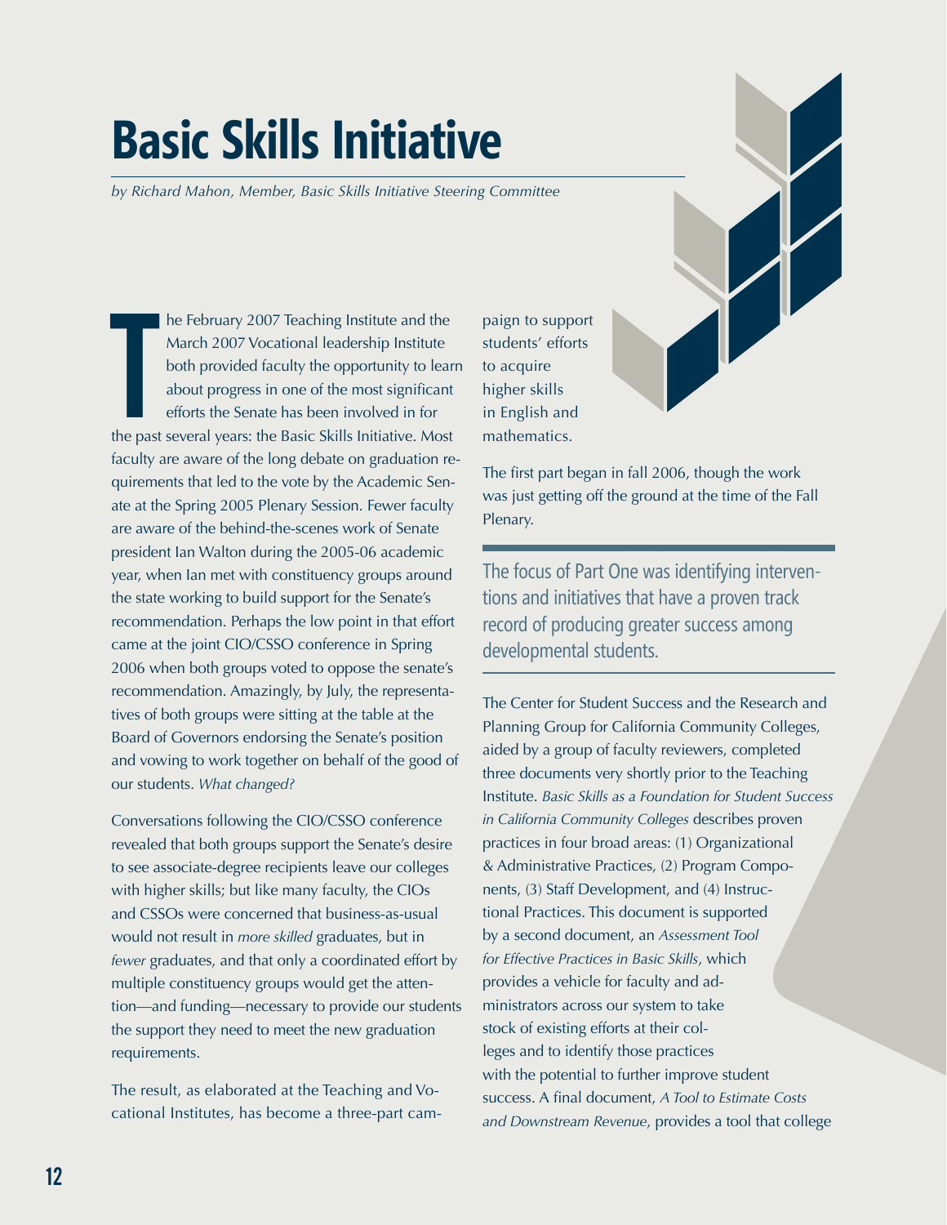## **Basic Skills Initiative**

*by Richard Mahon, Member, Basic Skills Initiative Steering Committee*

he February 2007 Teaching Institute and the<br>March 2007 Vocational leadership Institute<br>both provided faculty the opportunity to learn<br>about progress in one of the most significant<br>efforts the Senate has been involved in fo he February 2007 Teaching Institute and the March 2007 Vocational leadership Institute both provided faculty the opportunity to learn about progress in one of the most significant efforts the Senate has been involved in for faculty are aware of the long debate on graduation requirements that led to the vote by the Academic Senate at the Spring 2005 Plenary Session. Fewer faculty are aware of the behind-the-scenes work of Senate president Ian Walton during the 2005-06 academic year, when Ian met with constituency groups around the state working to build support for the Senate's recommendation. Perhaps the low point in that effort came at the joint CIO/CSSO conference in Spring 2006 when both groups voted to oppose the senate's recommendation. Amazingly, by July, the representatives of both groups were sitting at the table at the Board of Governors endorsing the Senate's position and vowing to work together on behalf of the good of our students. *What changed?*

Conversations following the CIO/CSSO conference revealed that both groups support the Senate's desire to see associate-degree recipients leave our colleges with higher skills; but like many faculty, the CIOs and CSSOs were concerned that business-as-usual would not result in *more skilled* graduates, but in *fewer* graduates, and that only a coordinated effort by multiple constituency groups would get the attention—and funding—necessary to provide our students the support they need to meet the new graduation requirements.

The result, as elaborated at the Teaching and Vocational Institutes, has become a three-part campaign to support students' efforts to acquire higher skills in English and mathematics.



The focus of Part One was identifying interventions and initiatives that have a proven track record of producing greater success among developmental students.

The Center for Student Success and the Research and Planning Group for California Community Colleges, aided by a group of faculty reviewers, completed three documents very shortly prior to the Teaching Institute. *Basic Skills as a Foundation for Student Success in California Community Colleges* describes proven practices in four broad areas: (1) Organizational & Administrative Practices, (2) Program Components, (3) Staff Development, and (4) Instructional Practices. This document is supported by a second document, an *Assessment Tool for Effective Practices in Basic Skills*, which provides a vehicle for faculty and administrators across our system to take stock of existing efforts at their colleges and to identify those practices with the potential to further improve student success. A final document, *A Tool to Estimate Costs and Downstream Revenue*, provides a tool that college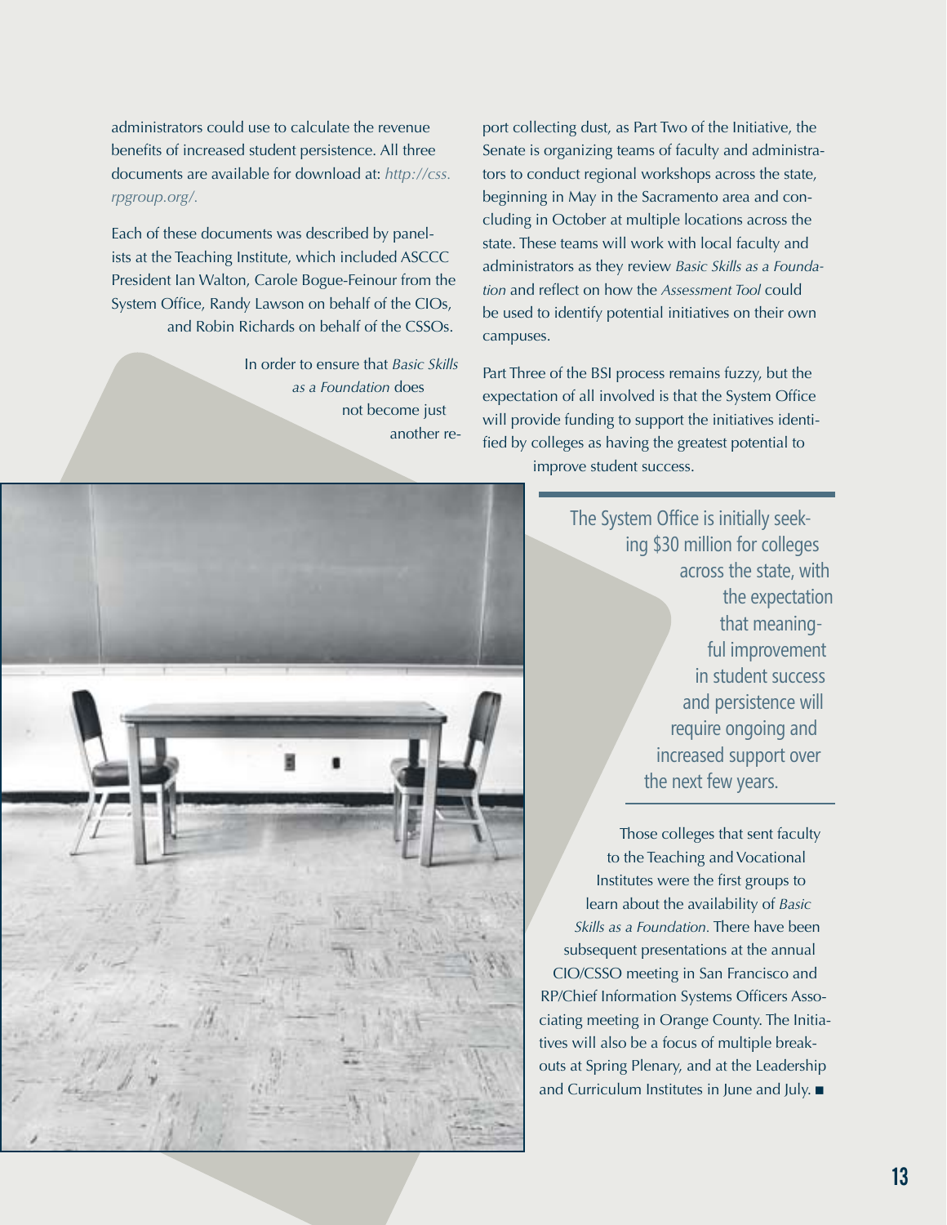administrators could use to calculate the revenue benefits of increased student persistence. All three documents are available for download at: *http://css. rpgroup.org/.*

Each of these documents was described by panelists at the Teaching Institute, which included ASCCC President Ian Walton, Carole Bogue-Feinour from the System Office, Randy Lawson on behalf of the CIOs, and Robin Richards on behalf of the CSSOs.

> In order to ensure that *Basic Skills as a Foundation* does not become just another re-



port collecting dust, as Part Two of the Initiative, the Senate is organizing teams of faculty and administrators to conduct regional workshops across the state, beginning in May in the Sacramento area and concluding in October at multiple locations across the state. These teams will work with local faculty and administrators as they review *Basic Skills as a Foundation* and reflect on how the *Assessment Tool* could be used to identify potential initiatives on their own campuses.

Part Three of the BSI process remains fuzzy, but the expectation of all involved is that the System Office will provide funding to support the initiatives identified by colleges as having the greatest potential to improve student success.

> The System Office is initially seeking \$30 million for colleges across the state, with the expectation that meaningful improvement in student success and persistence will require ongoing and increased support over the next few years.

Those colleges that sent faculty to the Teaching and Vocational Institutes were the first groups to learn about the availability of *Basic Skills as a Foundation.* There have been subsequent presentations at the annual CIO/CSSO meeting in San Francisco and RP/Chief Information Systems Officers Associating meeting in Orange County. The Initiatives will also be a focus of multiple breakouts at Spring Plenary, and at the Leadership and Curriculum Institutes in June and July.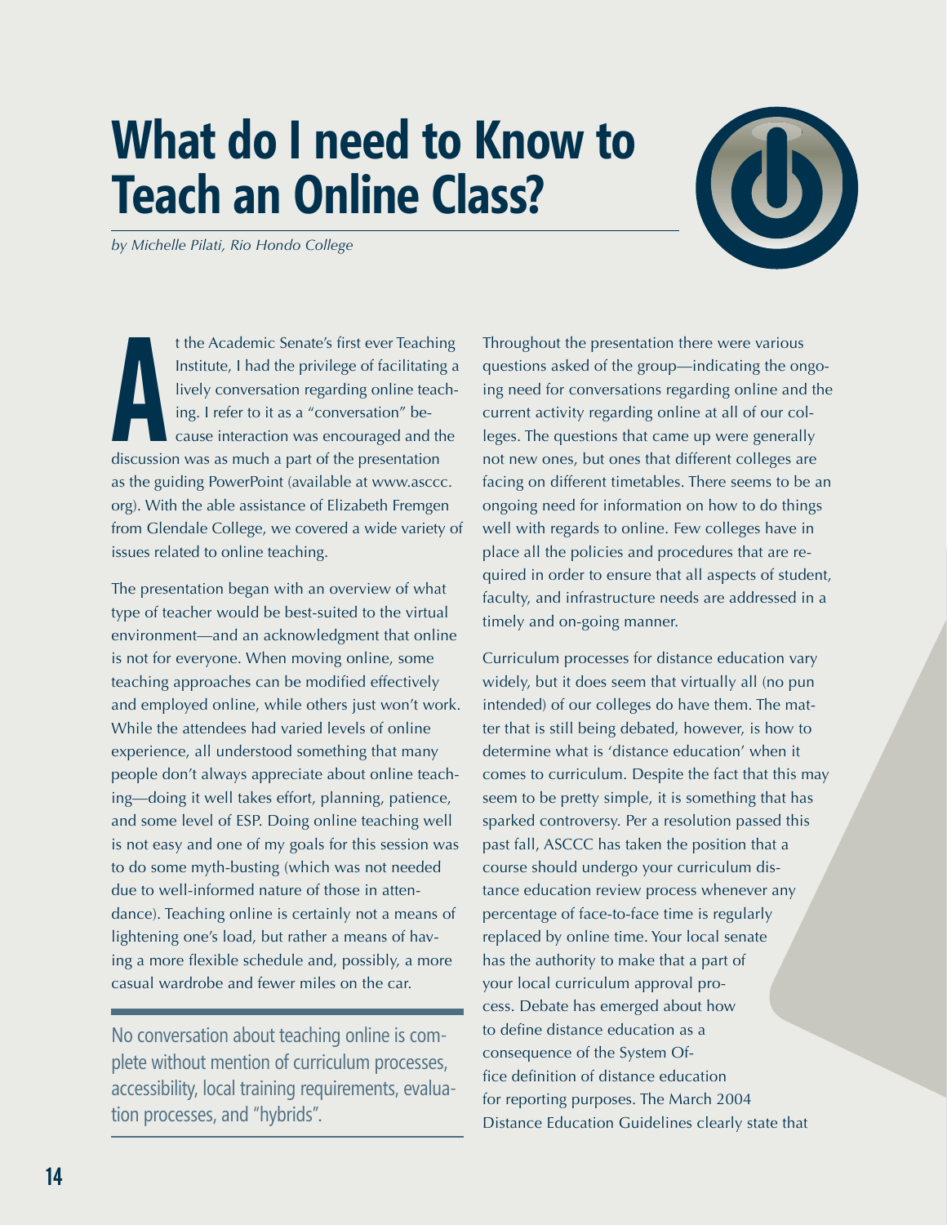## **What do I need to Know to Teach an Online Class?**

*by Michelle Pilati, Rio Hondo College* 

t the Academic Senate's first ever Teachir<br>Institute, I had the privilege of facilitating<br>lively conversation regarding online teac<br>ing. I refer to it as a "conversation" be-<br>cause interaction was encouraged and the<br>discus t the Academic Senate's first ever Teaching Institute, I had the privilege of facilitating a lively conversation regarding online teaching. I refer to it as a "conversation" because interaction was encouraged and the as the guiding PowerPoint (available at www.asccc. org). With the able assistance of Elizabeth Fremgen from Glendale College, we covered a wide variety of issues related to online teaching.

The presentation began with an overview of what type of teacher would be best-suited to the virtual environment—and an acknowledgment that online is not for everyone. When moving online, some teaching approaches can be modified effectively and employed online, while others just won't work. While the attendees had varied levels of online experience, all understood something that many people don't always appreciate about online teaching—doing it well takes effort, planning, patience, and some level of ESP. Doing online teaching well is not easy and one of my goals for this session was to do some myth-busting (which was not needed due to well-informed nature of those in attendance). Teaching online is certainly not a means of lightening one's load, but rather a means of having a more flexible schedule and, possibly, a more casual wardrobe and fewer miles on the car.

No conversation about teaching online is complete without mention of curriculum processes, accessibility, local training requirements, evaluation processes, and "hybrids".

Throughout the presentation there were various questions asked of the group—indicating the ongoing need for conversations regarding online and the current activity regarding online at all of our colleges. The questions that came up were generally not new ones, but ones that different colleges are facing on different timetables. There seems to be an ongoing need for information on how to do things well with regards to online. Few colleges have in place all the policies and procedures that are required in order to ensure that all aspects of student, faculty, and infrastructure needs are addressed in a timely and on-going manner.

Curriculum processes for distance education vary widely, but it does seem that virtually all (no pun intended) of our colleges do have them. The matter that is still being debated, however, is how to determine what is 'distance education' when it comes to curriculum. Despite the fact that this may seem to be pretty simple, it is something that has sparked controversy. Per a resolution passed this past fall, ASCCC has taken the position that a course should undergo your curriculum distance education review process whenever any percentage of face-to-face time is regularly replaced by online time. Your local senate has the authority to make that a part of your local curriculum approval process. Debate has emerged about how to define distance education as a consequence of the System Office definition of distance education for reporting purposes. The March 2004 Distance Education Guidelines clearly state that

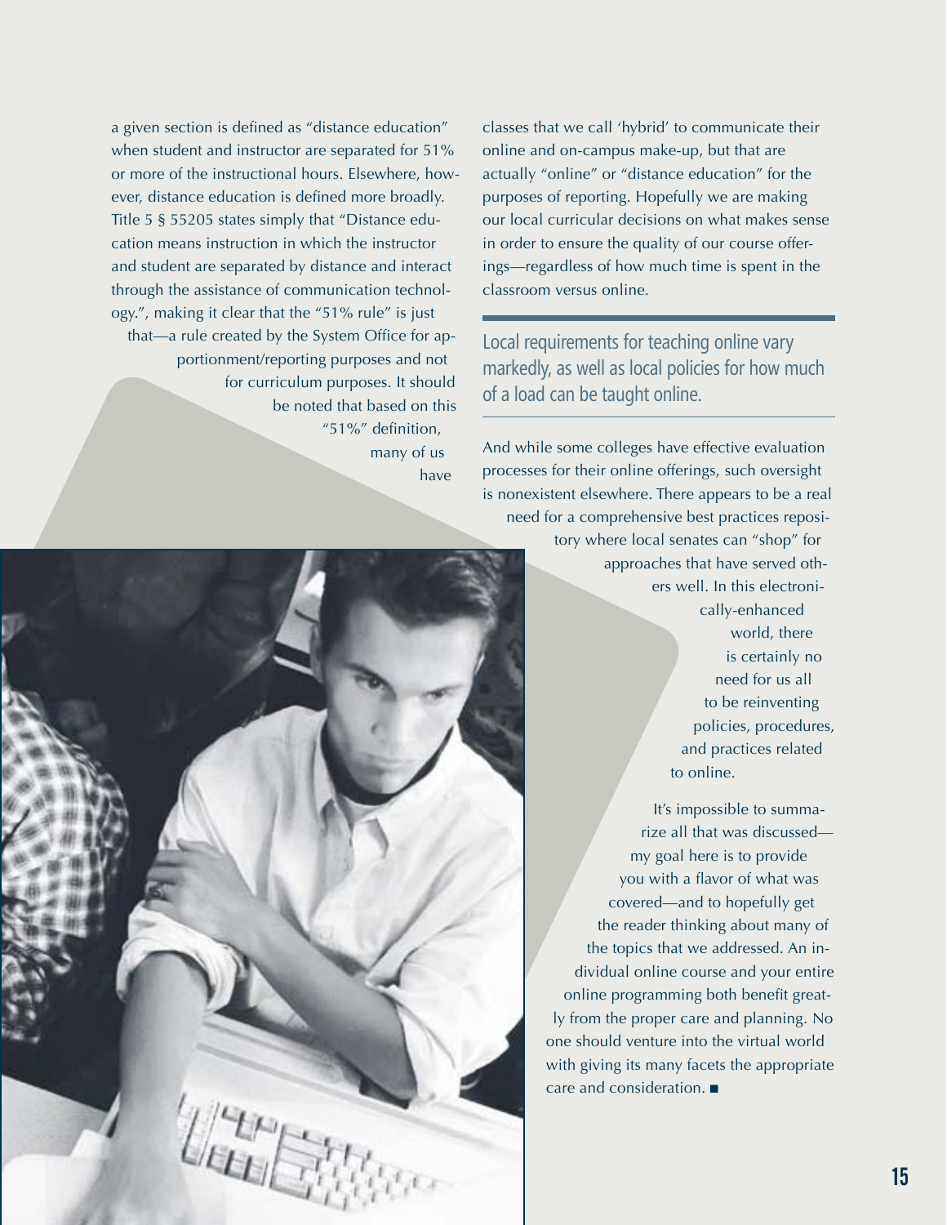a given section is defined as "distance education" when student and instructor are separated for 51% or more of the instructional hours. Elsewhere, however, distance education is defined more broadly. Title 5 § 55205 states simply that "Distance education means instruction in which the instructor and student are separated by distance and interact through the assistance of communication technology.", making it clear that the "51% rule" is just that—a rule created by the System Office for apportionment/reporting purposes and not for curriculum purposes. It should be noted that based on this "51%" definition, many of us

classes that we call 'hybrid' to communicate their online and on-campus make-up, but that are actually "online" or "distance education" for the purposes of reporting. Hopefully we are making our local curricular decisions on what makes sense in order to ensure the quality of our course offerings—regardless of how much time is spent in the classroom versus online.

Local requirements for teaching online vary markedly, as well as local policies for how much of a load can be taught online.

And while some colleges have effective evaluation

have processes for their online offerings, such oversight is nonexistent elsewhere. There appears to be a real need for a comprehensive best practices repository where local senates can "shop" for approaches that have served others well. In this electronically-enhanced world, there is certainly no need for us all to be reinventing policies, procedures, and practices related to online. It's impossible to summarize all that was discussed my goal here is to provide you with a flavor of what was covered—and to hopefully get the reader thinking about many of the topics that we addressed. An individual online course and your entire online programming both benefit greatly from the proper care and planning. No one should venture into the virtual world with giving its many facets the appropriate care and consideration.